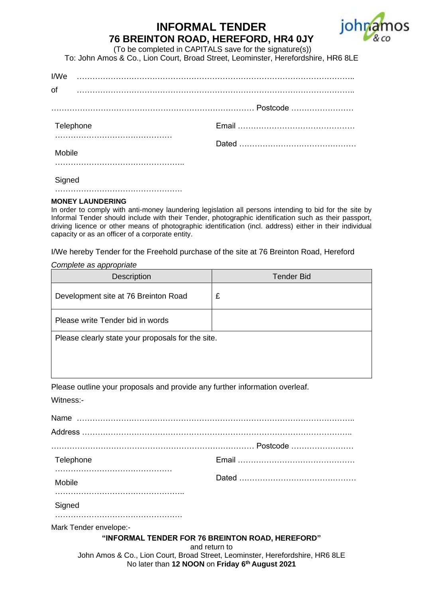## **INFORMAL TENDER 76 BREINTON ROAD, HEREFORD, HR4 0JY**



(To be completed in CAPITALS save for the signature(s)) To: John Amos & Co., Lion Court, Broad Street, Leominster, Herefordshire, HR6 8LE

| I/We      |  |
|-----------|--|
| of        |  |
|           |  |
| Telephone |  |
| Mobile    |  |
| Signed    |  |

## ………………………………………….

## **MONEY LAUNDERING**

In order to comply with anti-money laundering legislation all persons intending to bid for the site by Informal Tender should include with their Tender, photographic identification such as their passport, driving licence or other means of photographic identification (incl. address) either in their individual capacity or as an officer of a corporate entity.

I/We hereby Tender for the Freehold purchase of the site at 76 Breinton Road, Hereford

*Complete as appropriate*

| <b>Description</b>                                | <b>Tender Bid</b> |
|---------------------------------------------------|-------------------|
| Development site at 76 Breinton Road              | £                 |
| Please write Tender bid in words                  |                   |
| Please clearly state your proposals for the site. |                   |

Please outline your proposals and provide any further information overleaf. Witness:-

| Telephone              |                                                                               |
|------------------------|-------------------------------------------------------------------------------|
| Mobile                 |                                                                               |
| Signed                 |                                                                               |
| Mark Tender envelope:- |                                                                               |
|                        | "INFORMAL TENDER FOR 76 BREINTON ROAD, HEREFORD"<br>and return to             |
|                        | John Amos & Co., Lion Court, Broad Street, Leominster, Herefordshire, HR6 8LE |

## No later than **12 NOON** on **Friday 6 th August 2021**